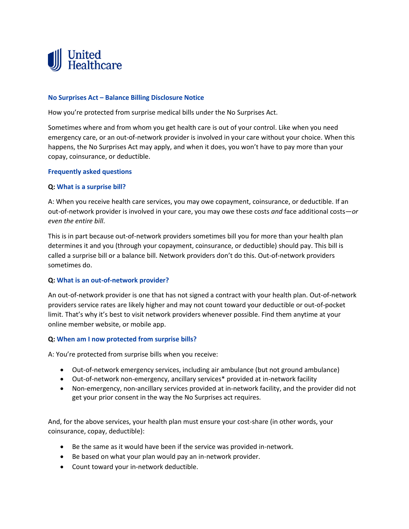

## **No Surprises Act – Balance Billing Disclosure Notice**

How you're protected from surprise medical bills under the No Surprises Act.

Sometimes where and from whom you get health care is out of your control. Like when you need emergency care, or an out-of-network provider is involved in your care without your choice. When this happens, the No Surprises Act may apply, and when it does, you won't have to pay more than your copay, coinsurance, or deductible.

#### **Frequently asked questions**

## **Q: What is a surprise bill?**

A: When you receive health care services, you may owe copayment, coinsurance, or deductible. If an out-of-network provider is involved in your care, you may owe these costs *and* face additional costs—*or even the entire bill*.

This is in part because out-of-network providers sometimes bill you for more than your health plan determines it and you (through your copayment, coinsurance, or deductible) should pay. This bill is called a surprise bill or a balance bill. Network providers don't do this. Out-of-network providers sometimes do.

#### **Q: What is an out-of-network provider?**

An out-of-network provider is one that has not signed a contract with your health plan. Out-of-network providers service rates are likely higher and may not count toward your deductible or out-of-pocket limit. That's why it's best to visit network providers whenever possible. Find them anytime at your online member website, or mobile app.

#### **Q: When am I now protected from surprise bills?**

A: You're protected from surprise bills when you receive:

- Out-of-network emergency services, including air ambulance (but not ground ambulance)
- Out-of-network non-emergency, ancillary services\* provided at in-network facility
- Non-emergency, non-ancillary services provided at in-network facility, and the provider did not get your prior consent in the way the No Surprises act requires.

And, for the above services, your health plan must ensure your cost-share (in other words, your coinsurance, copay, deductible):

- Be the same as it would have been if the service was provided in-network.
- Be based on what your plan would pay an in-network provider.
- Count toward your in-network deductible.